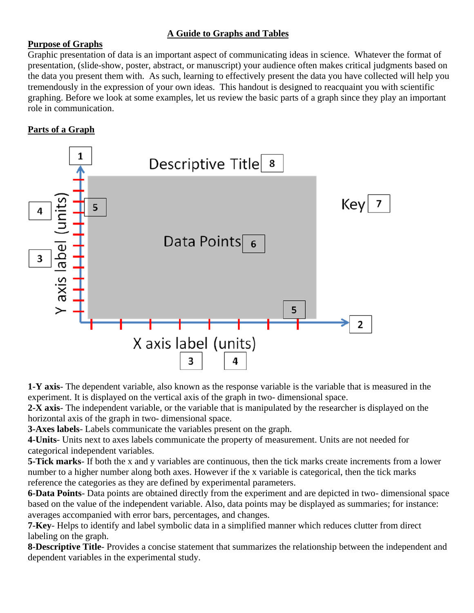# **A Guide to Graphs and Tables**

# **Purpose of Graphs**

Graphic presentation of data is an important aspect of communicating ideas in science. Whatever the format of presentation, (slide-show, poster, abstract, or manuscript) your audience often makes critical judgments based on the data you present them with. As such, learning to effectively present the data you have collected will help you tremendously in the expression of your own ideas. This handout is designed to reacquaint you with scientific graphing. Before we look at some examples, let us review the basic parts of a graph since they play an important role in communication.

# **Parts of a Graph**



**1-Y axis**- The dependent variable, also known as the response variable is the variable that is measured in the experiment. It is displayed on the vertical axis of the graph in two- dimensional space.

**2-X axis**- The independent variable, or the variable that is manipulated by the researcher is displayed on the horizontal axis of the graph in two- dimensional space.

**3-Axes labels**- Labels communicate the variables present on the graph.

**4-Units**- Units next to axes labels communicate the property of measurement. Units are not needed for categorical independent variables.

**5-Tick marks**- If both the x and y variables are continuous, then the tick marks create increments from a lower number to a higher number along both axes. However if the x variable is categorical, then the tick marks reference the categories as they are defined by experimental parameters.

**6-Data Points**- Data points are obtained directly from the experiment and are depicted in two- dimensional space based on the value of the independent variable. Also, data points may be displayed as summaries; for instance: averages accompanied with error bars, percentages, and changes.

**7-Key**- Helps to identify and label symbolic data in a simplified manner which reduces clutter from direct labeling on the graph.

**8-Descriptive Title**- Provides a concise statement that summarizes the relationship between the independent and dependent variables in the experimental study.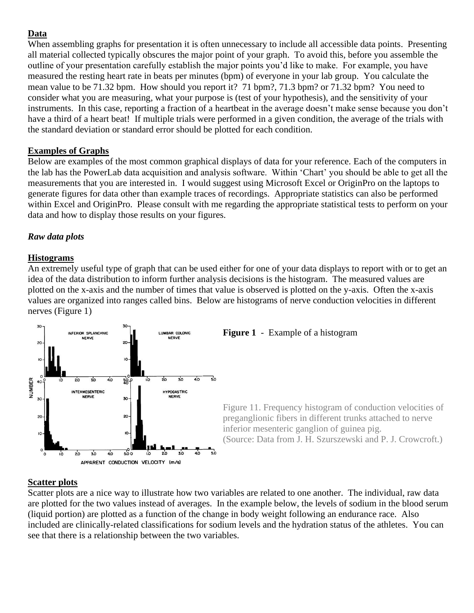# **Data**

When assembling graphs for presentation it is often unnecessary to include all accessible data points. Presenting all material collected typically obscures the major point of your graph. To avoid this, before you assemble the outline of your presentation carefully establish the major points you'd like to make. For example, you have measured the resting heart rate in beats per minutes (bpm) of everyone in your lab group. You calculate the mean value to be 71.32 bpm. How should you report it? 71 bpm?, 71.3 bpm? or 71.32 bpm? You need to consider what you are measuring, what your purpose is (test of your hypothesis), and the sensitivity of your instruments. In this case, reporting a fraction of a heartbeat in the average doesn't make sense because you don't have a third of a heart beat! If multiple trials were performed in a given condition, the average of the trials with the standard deviation or standard error should be plotted for each condition.

# **Examples of Graphs**

Below are examples of the most common graphical displays of data for your reference. Each of the computers in the lab has the PowerLab data acquisition and analysis software. Within 'Chart' you should be able to get all the measurements that you are interested in. I would suggest using Microsoft Excel or OriginPro on the laptops to generate figures for data other than example traces of recordings. Appropriate statistics can also be performed within Excel and OriginPro. Please consult with me regarding the appropriate statistical tests to perform on your data and how to display those results on your figures.

# *Raw data plots*

# **Histograms**

An extremely useful type of graph that can be used either for one of your data displays to report with or to get an idea of the data distribution to inform further analysis decisions is the histogram. The measured values are plotted on the x-axis and the number of times that value is observed is plotted on the y-axis. Often the x-axis values are organized into ranges called bins. Below are histograms of nerve conduction velocities in different nerves (Figure 1)



# **Scatter plots**

Scatter plots are a nice way to illustrate how two variables are related to one another. The individual, raw data are plotted for the two values instead of averages. In the example below, the levels of sodium in the blood serum (liquid portion) are plotted as a function of the change in body weight following an endurance race. Also included are clinically-related classifications for sodium levels and the hydration status of the athletes. You can see that there is a relationship between the two variables.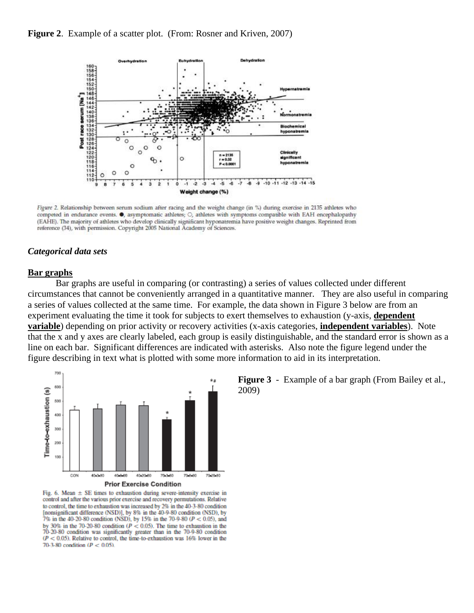



Figure 2. Relationship between serum sodium after racing and the weight change (in %) during exercise in 2135 athletes who competed in endurance events. . asymptomatic athletes; O, athletes with symptoms compatible with EAH encephalopathy (EAHE). The majority of athletes who develop clinically significant hyponatremia have positive weight changes. Reprinted from reference (34), with permission. Copyright 2005 National Academy of Sciences.

#### *Categorical data sets*

#### **Bar graphs**

Bar graphs are useful in comparing (or contrasting) a series of values collected under different circumstances that cannot be conveniently arranged in a quantitative manner. They are also useful in comparing a series of values collected at the same time. For example, the data shown in Figure 3 below are from an experiment evaluating the time it took for subjects to exert themselves to exhaustion (y-axis, **dependent variable**) depending on prior activity or recovery activities (x-axis categories, **independent variables**). Note that the x and y axes are clearly labeled, each group is easily distinguishable, and the standard error is shown as a line on each bar. Significant differences are indicated with asterisks. Also note the figure legend under the figure describing in text what is plotted with some more information to aid in its interpretation.



Fig. 6. Mean  $\pm$  SE times to exhaustion during severe-intensity exercise in control and after the various prior exercise and recovery permutations. Relative to control, the time to exhaustion was increased by 2% in the 40-3-80 condition [nonsignificant difference (NSD)], by 8% in the 40-9-80 condition (NSD), by 7% in the 40-20-80 condition (NSD), by 15% in the 70-9-80 (P < 0.05), and by 30% in the 70-20-80 condition ( $P < 0.05$ ). The time to exhaustion in the 70-20-80 condition was significantly greater than in the 70-9-80 condition  $(P < 0.05)$ . Relative to control, the time-to-exhaustion was 16% lower in the 70-3-80 condition ( $P < 0.05$ )

**Figure 3** - Example of a bar graph (From Bailey et al., 2009)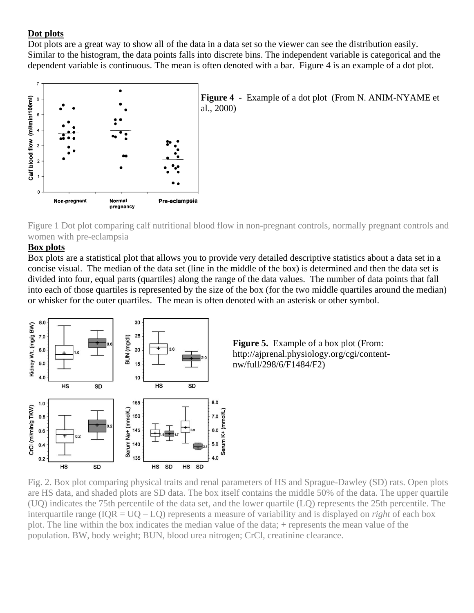# **Dot plots**

Dot plots are a great way to show all of the data in a data set so the viewer can see the distribution easily. Similar to the histogram, the data points falls into discrete bins. The independent variable is categorical and the dependent variable is continuous. The mean is often denoted with a bar. Figure 4 is an example of a dot plot.



**Figure 4** - Example of a dot plot (From N. ANIM-NYAME et al., 2000)

[Figure 1 Dot plot comparing calf nutritional blood flow in non-pregnant controls, normally pregnant controls and](http://www.clinsci.org/cs/099/0505/cs0990505f01.htm)  [women with pre-eclampsia](http://www.clinsci.org/cs/099/0505/cs0990505f01.htm)

# **Box plots**

Box plots are a statistical plot that allows you to provide very detailed descriptive statistics about a data set in a concise visual. The median of the data set (line in the middle of the box) is determined and then the data set is divided into four, equal parts (quartiles) along the range of the data values. The number of data points that fall into each of those quartiles is represented by the size of the box (for the two middle quartiles around the median) or whisker for the outer quartiles. The mean is often denoted with an asterisk or other symbol.





Fig. 2. Box plot comparing physical traits and renal parameters of HS and Sprague-Dawley (SD) rats. Open plots are HS data, and shaded plots are SD data. The box itself contains the middle 50% of the data. The upper quartile (UQ) indicates the 75th percentile of the data set, and the lower quartile (LQ) represents the 25th percentile. The interquartile range (IQR = UQ – LQ) represents a measure of variability and is displayed on *right* of each box plot. The line within the box indicates the median value of the data; + represents the mean value of the population. BW, body weight; BUN, blood urea nitrogen; CrCl, creatinine clearance.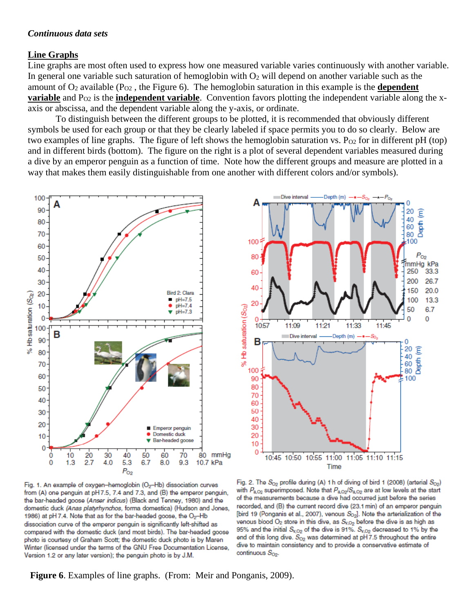#### *Continuous data sets*

#### **Line Graphs**

Line graphs are most often used to express how one measured variable varies continuously with another variable. In general one variable such saturation of hemoglobin with  $O_2$  will depend on another variable such as the amount of  $O_2$  available ( $P_{O2}$ , the Figure 6). The hemoglobin saturation in this example is the **dependent variable** and P<sub>O2</sub> is the **independent variable**. Convention favors plotting the independent variable along the xaxis or abscissa, and the dependent variable along the y-axis, or ordinate.

To distinguish between the different groups to be plotted, it is recommended that obviously different symbols be used for each group or that they be clearly labeled if space permits you to do so clearly. Below are two examples of line graphs. The figure of left shows the hemoglobin saturation vs.  $P_{O2}$  for in different pH (top) and in different birds (bottom). The figure on the right is a plot of several dependent variables measured during a dive by an emperor penguin as a function of time. Note how the different groups and measure are plotted in a way that makes them easily distinguishable from one another with different colors and/or symbols).





Fig. 1. An example of oxygen-hemoglobin (O<sub>2</sub>-Hb) dissociation curves from (A) one penguin at pH7.5, 7.4 and 7.3, and (B) the emperor penguin, the bar-headed goose (Anser indicus) (Black and Tenney, 1980) and the domestic duck (Anas platyrhynchos, forma domestica) (Hudson and Jones, 1986) at pH 7.4. Note that as for the bar-headed goose, the O<sub>2</sub>-Hb dissociation curve of the emperor penguin is significantly left-shifted as compared with the domestic duck (and most birds). The bar-headed goose photo is courtesy of Graham Scott; the domestic duck photo is by Maren Winter (licensed under the terms of the GNU Free Documentation License, Version 1.2 or any later version); the penguin photo is by J.M.

Fig. 2. The  $S_{O2}$  profile during (A) 1 h of diving of bird 1 (2008) (arterial  $S_{O2}$ ) with  $P_{\rm a,O2}$  superimposed. Note that  $P_{\rm a,O2}/S_{\rm a,O2}$  are at low levels at the start of the measurements because a dive had occurred just before the series recorded, and (B) the current record dive (23.1 min) of an emperor penguin [bird 19 (Ponganis et al., 2007), venous So<sub>2</sub>]. Note the arterialization of the venous blood  $O_2$  store in this dive, as  $S_{V,O_2}$  before the dive is as high as 95% and the initial  $S_{v, O_2}$  of the dive is 91%.  $S_{v, O_2}$  decreased to 1% by the end of this long dive.  $S_{O2}$  was determined at pH7.5 throughout the entire dive to maintain consistency and to provide a conservative estimate of continuous  $S_{O2}$ .

**Figure 6**. Examples of line graphs. (From: Meir and Ponganis, 2009).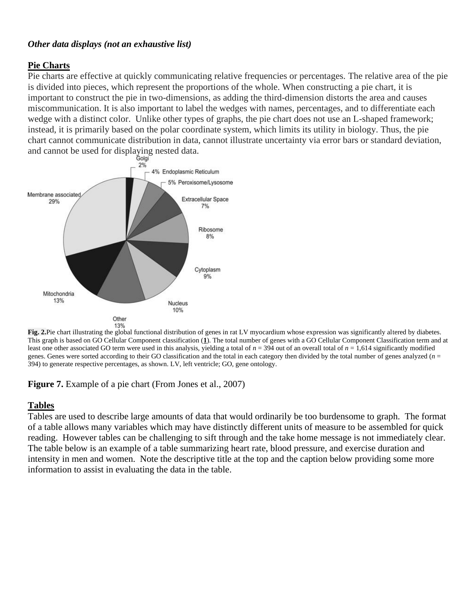### *Other data displays (not an exhaustive list)*

### **Pie Charts**

Pie charts are effective at quickly communicating relative frequencies or percentages. The relative area of the pie is divided into pieces, which represent the proportions of the whole. When constructing a pie chart, it is important to construct the pie in two-dimensions, as adding the third-dimension distorts the area and causes miscommunication. It is also important to label the wedges with names, percentages, and to differentiate each wedge with a distinct color. Unlike other types of graphs, the pie chart does not use an L-shaped framework; instead, it is primarily based on the polar coordinate system, which limits its utility in biology. Thus, the pie chart cannot communicate distribution in data, cannot illustrate uncertainty via error bars or standard deviation, and cannot be used for displaying nested data.



**Fig. 2.**Pie chart illustrating the global functional distribution of genes in rat LV myocardium whose expression was significantly altered by diabetes. This graph is based on GO Cellular Component classification (**[1](http://physiolgenomics.physiology.org/content/28/3/284#ref-1)**). The total number of genes with a GO Cellular Component Classification term and at least one other associated GO term were used in this analysis, yielding a total of  $n = 394$  out of an overall total of  $n = 1,614$  significantly modified genes. Genes were sorted according to their GO classification and the total in each category then divided by the total number of genes analyzed (*n* = 394) to generate respective percentages, as shown. LV, left ventricle; GO, gene ontology.

**Figure 7.** Example of a pie chart (From Jones et al., 2007)

# **Tables**

Tables are used to describe large amounts of data that would ordinarily be too burdensome to graph. The format of a table allows many variables which may have distinctly different units of measure to be assembled for quick reading. However tables can be challenging to sift through and the take home message is not immediately clear. The table below is an example of a table summarizing heart rate, blood pressure, and exercise duration and intensity in men and women. Note the descriptive title at the top and the caption below providing some more information to assist in evaluating the data in the table.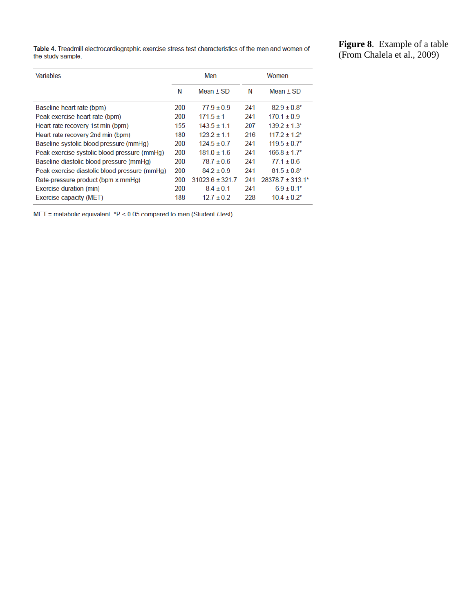Table 4. Treadmill electrocardiographic exercise stress test characteristics of the men and women of the study sample.

**Figure 8**. Example of a table (From Chalela et al., 2009)

| <b>Variables</b>                              | Men |                     |     | Women                    |  |
|-----------------------------------------------|-----|---------------------|-----|--------------------------|--|
|                                               | N   | Mean $\pm$ SD       | N   | Mean $\pm$ SD            |  |
| Baseline heart rate (bpm)                     | 200 | $779 + 09$          | 241 | $82.9 \pm 0.8^*$         |  |
| Peak exercise heart rate (bpm)                | 200 | $171.5 + 1$         | 241 | $170.1 + 0.9$            |  |
| Heart rate recovery 1st min (bpm)             | 155 | $1435 + 11$         | 207 | $1392 + 13$ <sup>*</sup> |  |
| Heart rate recovery 2nd min (bpm)             | 180 | $1232 + 11$         | 216 | $1172 + 12*$             |  |
| Baseline systolic blood pressure (mmHq)       | 200 | $1245+07$           | 241 | $119.5 \pm 0.7^*$        |  |
| Peak exercise systolic blood pressure (mmHg)  | 200 | $181.0 \pm 1.6$     | 241 | $166.8 \pm 1.7$ *        |  |
| Baseline diastolic blood pressure (mmHq)      | 200 | $787 + 06$          | 241 | $771 + 06$               |  |
| Peak exercise diastolic blood pressure (mmHq) | 200 | $842 + 0.9$         | 241 | $81.5 \pm 0.8^*$         |  |
| Rate-pressure product (bpm x mmHg)            | 200 | $31023.6 \pm 321.7$ | 241 | $28378.7 \pm 313.1*$     |  |
| Exercise duration (min)                       | 200 | $84 + 01$           | 241 | $6.9 \pm 0.1*$           |  |
| Exercise capacity (MET)                       | 188 | $127 + 02$          | 228 | $10.4 + 0.2^*$           |  |

 $MET = metabolic equivalent. *P < 0.05$  compared to men (Student t-test).